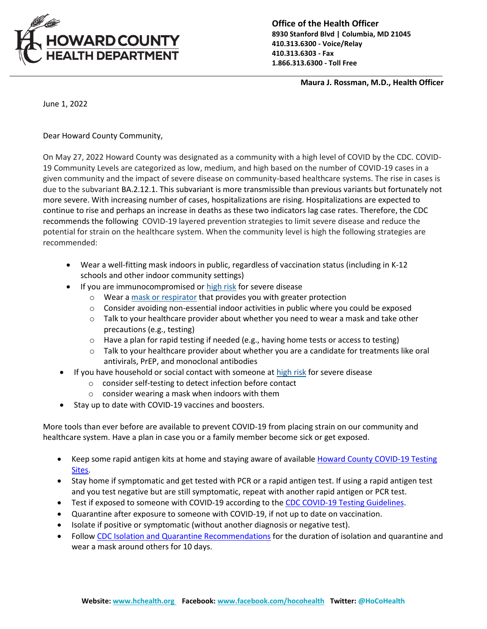

**Office of the Health Officer 8930 Stanford Blvd | Columbia, MD 21045 410.313.6300 - Voice/Relay 410.313.6303 - Fax 1.866.313.6300 - Toll Free**

 **Maura J. Rossman, M.D., Health Officer**

June 1, 2022

Dear Howard County Community,

On May 27, 2022 Howard County was designated as a community with a high level of COVID by the CDC. COVID-19 Community Levels are categorized as low, medium, and high based on the number of COVID-19 cases in a given community and the impact of severe disease on community-based healthcare systems. The rise in cases is due to the subvariant BA.2.12.1. This subvariant is more transmissible than previous variants but fortunately not more severe. With increasing number of cases, hospitalizations are rising. Hospitalizations are expected to continue to rise and perhaps an increase in deaths as these two indicators lag case rates. Therefore, the CDC recommends the following COVID-19 layered prevention strategies to limit severe disease and reduce the potential for strain on the healthcare system. When the community level is high the following strategies are recommended:

- Wear a well-fitting mask indoors in public, regardless of vaccination status (including in K-12 schools and other indoor community settings)
- If you are immunocompromised or [high risk](https://gcc02.safelinks.protection.outlook.com/?url=https%3A%2F%2Fwww.cdc.gov%2Fcoronavirus%2F2019-ncov%2Fneed-extra-precautions%2Fpeople-with-medical-conditions.html&data=05%7C01%7Cmrossman%40howardcountymd.gov%7C0b90ccbf150545996d4308da43d64324%7C0538130803664bb7a95b95304bd11a58%7C1%7C0%7C637896884764582000%7CUnknown%7CTWFpbGZsb3d8eyJWIjoiMC4wLjAwMDAiLCJQIjoiV2luMzIiLCJBTiI6Ik1haWwiLCJXVCI6Mn0%3D%7C3000%7C%7C%7C&sdata=SrqrIGZqpChxbxcgV%2B4lhzu3jFN9582DahxvwmE87sw%3D&reserved=0) for severe disease
	- o Wear a mask [or respirator](https://gcc02.safelinks.protection.outlook.com/?url=https%3A%2F%2Fwww.cdc.gov%2Fcoronavirus%2F2019-ncov%2Fprevent-getting-sick%2Ftypes-of-masks.html&data=05%7C01%7Cmrossman%40howardcountymd.gov%7C0b90ccbf150545996d4308da43d64324%7C0538130803664bb7a95b95304bd11a58%7C1%7C0%7C637896884764582000%7CUnknown%7CTWFpbGZsb3d8eyJWIjoiMC4wLjAwMDAiLCJQIjoiV2luMzIiLCJBTiI6Ik1haWwiLCJXVCI6Mn0%3D%7C3000%7C%7C%7C&sdata=8SED1T%2F5XZ4z3TcgbZvJgorcFNGfN%2FqNp3XP5%2F3ynt0%3D&reserved=0) that provides you with greater protection
	- $\circ$  Consider avoiding non-essential indoor activities in public where you could be exposed
	- $\circ$  Talk to your healthcare provider about whether you need to wear a mask and take other precautions (e.g., testing)
	- $\circ$  Have a plan for rapid testing if needed (e.g., having home tests or access to testing)
	- o Talk to your healthcare provider about whether you are a candidate for treatments like oral antivirals, PrEP, and monoclonal antibodies
- If you have household or social contact with someone at [high risk](https://gcc02.safelinks.protection.outlook.com/?url=https%3A%2F%2Fwww.cdc.gov%2Fcoronavirus%2F2019-ncov%2Fneed-extra-precautions%2Fpeople-with-medical-conditions.html&data=05%7C01%7Cmrossman%40howardcountymd.gov%7C0b90ccbf150545996d4308da43d64324%7C0538130803664bb7a95b95304bd11a58%7C1%7C0%7C637896884764582000%7CUnknown%7CTWFpbGZsb3d8eyJWIjoiMC4wLjAwMDAiLCJQIjoiV2luMzIiLCJBTiI6Ik1haWwiLCJXVCI6Mn0%3D%7C3000%7C%7C%7C&sdata=SrqrIGZqpChxbxcgV%2B4lhzu3jFN9582DahxvwmE87sw%3D&reserved=0) for severe disease
	- o consider self-testing to detect infection before contact
	- o consider wearing a mask when indoors with them
- Stay up to date with COVID-19 vaccines and boosters.

More tools than ever before are available to prevent COVID-19 from placing strain on our community and healthcare system. Have a plan in case you or a family member become sick or get exposed.

- Keep some rapid antigen kits at home and staying aware of available Howard County [COVID-19](https://www.howardcountymd.gov/health/covid-19-testing) Testing [Sites.](https://www.howardcountymd.gov/health/covid-19-testing)
- Stay home if symptomatic and get tested with PCR or a rapid antigen test. If using a rapid antigen test and you test negative but are still symptomatic, repeat with another rapid antigen or PCR test.
- Test if exposed to someone with COVID-19 according to the CDC COVID-19 Testing [Guidelines.](https://www.cdc.gov/coronavirus/2019-ncov/testing/diagnostic-testing.html)
- Quarantine after exposure to someone with COVID-19, if not up to date on vaccination.
- Isolate if positive or symptomatic (without another diagnosis or negative test).
- Follow CDC Isolation and Quarantine [Recommendations](https://www.cdc.gov/coronavirus/2019-ncov/your-health/quarantine-isolation.html) for the duration of isolation and quarantine and wear a mask around others for 10 days.